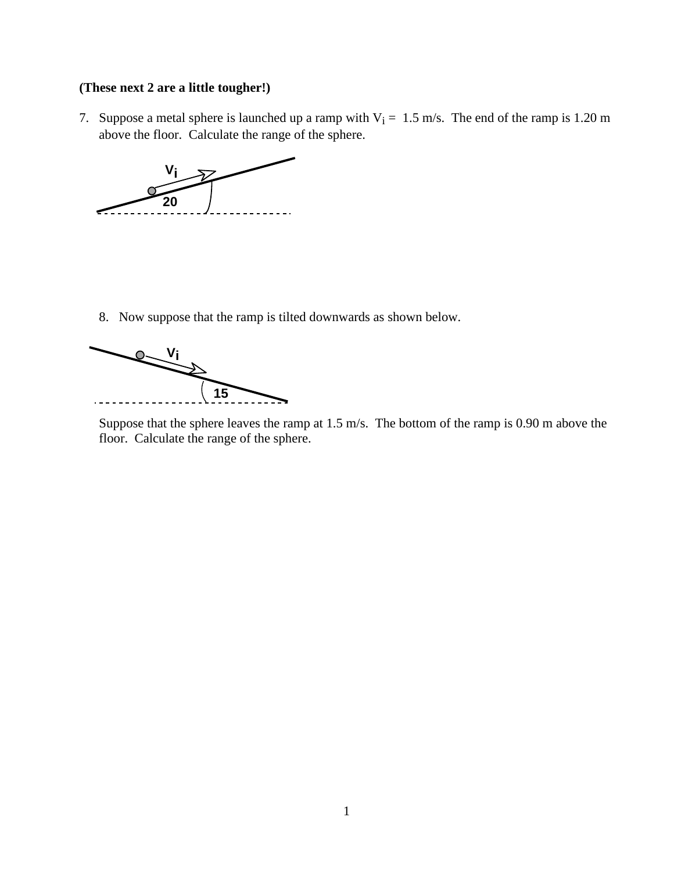## **(These next 2 are a little tougher!)**

7. Suppose a metal sphere is launched up a ramp with  $V_i = 1.5$  m/s. The end of the ramp is 1.20 m above the floor. Calculate the range of the sphere.



8. Now suppose that the ramp is tilted downwards as shown below.



Suppose that the sphere leaves the ramp at 1.5 m/s. The bottom of the ramp is 0.90 m above the floor. Calculate the range of the sphere.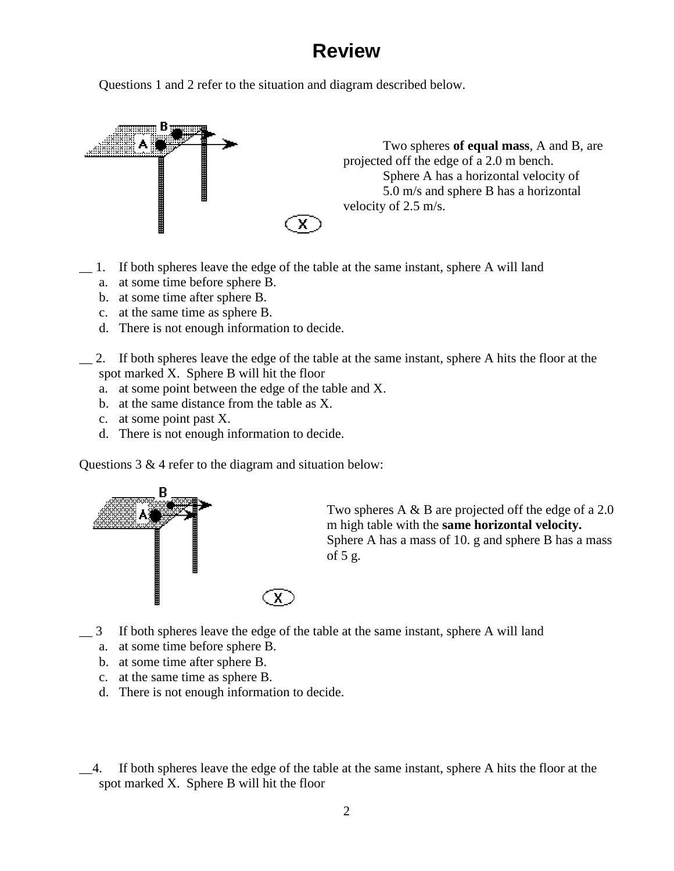## **Review**

Questions 1 and 2 refer to the situation and diagram described below.



- \_\_ 1. If both spheres leave the edge of the table at the same instant, sphere A will land
	- a. at some time before sphere B.
	- b. at some time after sphere B.
	- c. at the same time as sphere B.
	- d. There is not enough information to decide.
	- \_\_ 2. If both spheres leave the edge of the table at the same instant, sphere A hits the floor at the spot marked X. Sphere B will hit the floor
		- a. at some point between the edge of the table and X.
		- b. at the same distance from the table as X.
		- c. at some point past X.
		- d. There is not enough information to decide.

Questions  $3 \& 4$  refer to the diagram and situation below:



Two spheres A & B are projected off the edge of a 2.0 m high table with the **same horizontal velocity.** Sphere A has a mass of 10. g and sphere B has a mass of 5 g.

- \_\_ 3 If both spheres leave the edge of the table at the same instant, sphere A will land
	- a. at some time before sphere B.
	- b. at some time after sphere B.
	- c. at the same time as sphere B.
	- d. There is not enough information to decide.
- \_\_4. If both spheres leave the edge of the table at the same instant, sphere A hits the floor at the spot marked X. Sphere B will hit the floor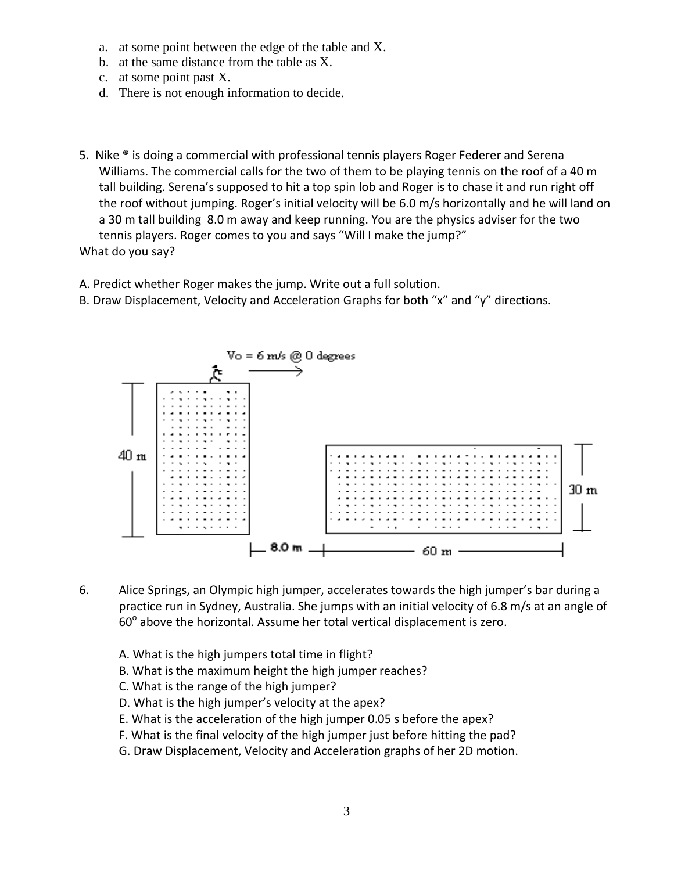- a. at some point between the edge of the table and X.
- b. at the same distance from the table as X.
- c. at some point past X.
- d. There is not enough information to decide.
- 5. Nike ® is doing a commercial with professional tennis players Roger Federer and Serena Williams. The commercial calls for the two of them to be playing tennis on the roof of a 40 m tall building. Serena's supposed to hit a top spin lob and Roger is to chase it and run right off the roof without jumping. Roger's initial velocity will be 6.0 m/s horizontally and he will land on a 30 m tall building 8.0 m away and keep running. You are the physics adviser for the two tennis players. Roger comes to you and says "Will I make the jump?" What do you say?

A. Predict whether Roger makes the jump. Write out a full solution.

B. Draw Displacement, Velocity and Acceleration Graphs for both "x" and "y" directions.



- 6. Alice Springs, an Olympic high jumper, accelerates towards the high jumper's bar during a practice run in Sydney, Australia. She jumps with an initial velocity of 6.8 m/s at an angle of  $60^{\circ}$  above the horizontal. Assume her total vertical displacement is zero.
	- A. What is the high jumpers total time in flight?
	- B. What is the maximum height the high jumper reaches?
	- C. What is the range of the high jumper?
	- D. What is the high jumper's velocity at the apex?
	- E. What is the acceleration of the high jumper 0.05 s before the apex?
	- F. What is the final velocity of the high jumper just before hitting the pad?
	- G. Draw Displacement, Velocity and Acceleration graphs of her 2D motion.